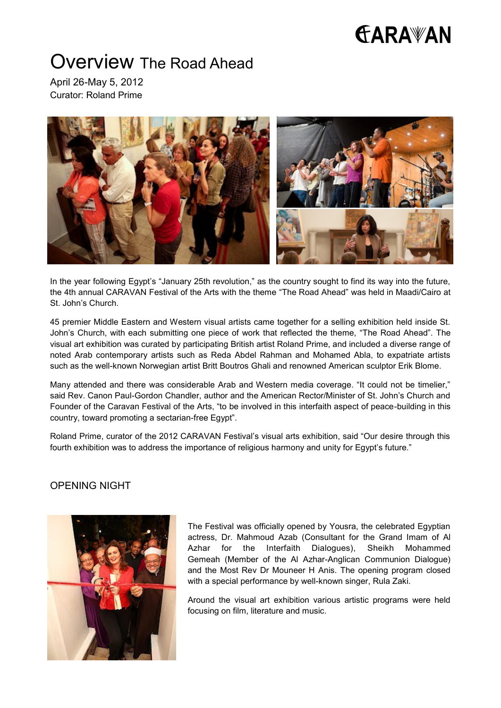# **FARAWAN**

## Overview The Road Ahead

April 26-May 5, 2012 Curator: Roland Prime



In the year following Egypt's "January 25th revolution," as the country sought to find its way into the future, the 4th annual CARAVAN Festival of the Arts with the theme "The Road Ahead" was held in Maadi/Cairo at St. John's Church.

45 premier Middle Eastern and Western visual artists came together for a selling exhibition held inside St. John's Church, with each submitting one piece of work that reflected the theme, "The Road Ahead". The visual art exhibition was curated by participating British artist Roland Prime, and included a diverse range of noted Arab contemporary artists such as Reda Abdel Rahman and Mohamed Abla, to expatriate artists such as the well-known Norwegian artist Britt Boutros Ghali and renowned American sculptor Erik Blome.

Many attended and there was considerable Arab and Western media coverage. "It could not be timelier," said Rev. Canon Paul-Gordon Chandler, author and the American Rector/Minister of St. John's Church and Founder of the Caravan Festival of the Arts, "to be involved in this interfaith aspect of peace-building in this country, toward promoting a sectarian-free Egypt".

Roland Prime, curator of the 2012 CARAVAN Festival's visual arts exhibition, said "Our desire through this fourth exhibition was to address the importance of religious harmony and unity for Egypt's future."

### OPENING NIGHT



The Festival was officially opened by Yousra, the celebrated Egyptian actress, Dr. Mahmoud Azab (Consultant for the Grand Imam of Al Azhar for the Interfaith Dialogues), Sheikh Mohammed Gemeah (Member of the Al Azhar-Anglican Communion Dialogue) and the Most Rev Dr Mouneer H Anis. The opening program closed with a special performance by well-known singer, Rula Zaki.

Around the visual art exhibition various artistic programs were held focusing on film, literature and music.